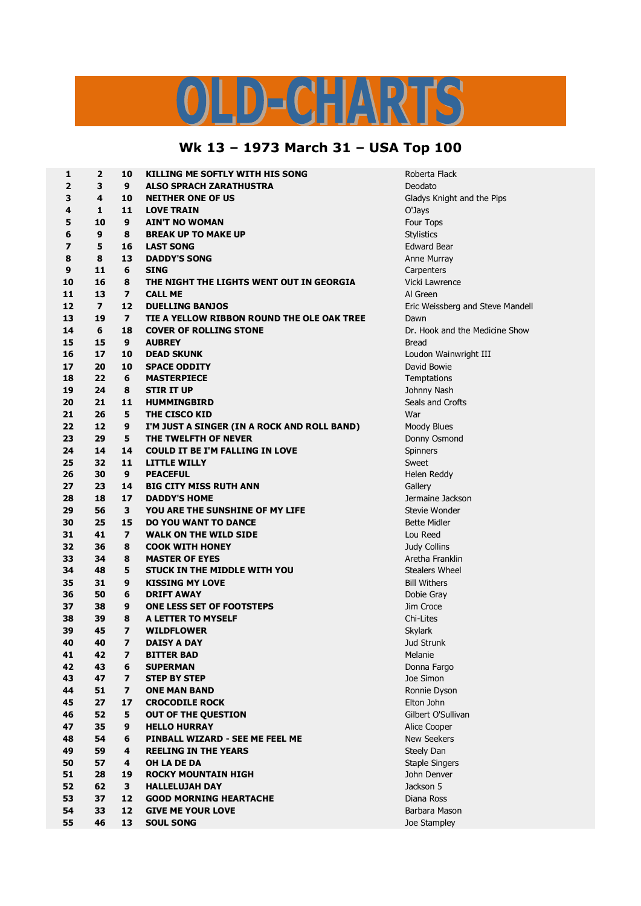## LD-CHARTS

## **Wk 13 – 1973 March 31 – USA Top 100**

| 1                       | 2              | 10                      | KILLING ME SOFTLY WITH HIS SONG             | Roberta Flack                    |
|-------------------------|----------------|-------------------------|---------------------------------------------|----------------------------------|
| $\overline{2}$          | 3              | 9                       | <b>ALSO SPRACH ZARATHUSTRA</b>              | Deodato                          |
| 3                       | 4              | 10                      | <b>NEITHER ONE OF US</b>                    | Gladys Knight and the Pips       |
| 4                       | 1              | 11                      | <b>LOVE TRAIN</b>                           | O'Jays                           |
| 5                       | 10             | 9                       | <b>AIN'T NO WOMAN</b>                       | Four Tops                        |
| 6                       | 9              | 8                       | <b>BREAK UP TO MAKE UP</b>                  | Stylistics                       |
| $\overline{\mathbf{z}}$ | 5              | 16                      | <b>LAST SONG</b>                            | <b>Edward Bear</b>               |
| 8                       | 8              | 13                      | <b>DADDY'S SONG</b>                         | Anne Murray                      |
| 9                       | 11             | 6                       | <b>SING</b>                                 | Carpenters                       |
| 10                      | 16             | 8                       | THE NIGHT THE LIGHTS WENT OUT IN GEORGIA    | Vicki Lawrence                   |
| 11                      | 13             | $\overline{ }$          | <b>CALL ME</b>                              | Al Green                         |
| 12                      | $\overline{ }$ | 12                      | <b>DUELLING BANJOS</b>                      |                                  |
| 13                      | 19             | $\overline{ }$          |                                             | Eric Weissberg and Steve Mandell |
|                         |                |                         | TIE A YELLOW RIBBON ROUND THE OLE OAK TREE  | Dawn                             |
| 14                      | 6              | 18                      | <b>COVER OF ROLLING STONE</b>               | Dr. Hook and the Medicine Show   |
| 15                      | 15             | 9                       | <b>AUBREY</b>                               | <b>Bread</b>                     |
| 16                      | 17             | 10                      | <b>DEAD SKUNK</b>                           | Loudon Wainwright III            |
| 17                      | 20             | 10                      | <b>SPACE ODDITY</b>                         | David Bowie                      |
| 18                      | 22             | 6                       | <b>MASTERPIECE</b>                          | Temptations                      |
| 19                      | 24             | 8                       | <b>STIR IT UP</b>                           | Johnny Nash                      |
| 20                      | 21             | 11                      | <b>HUMMINGBIRD</b>                          | Seals and Crofts                 |
| 21                      | 26             | 5                       | THE CISCO KID                               | War                              |
| 22                      | 12             | 9                       | I'M JUST A SINGER (IN A ROCK AND ROLL BAND) | Moody Blues                      |
| 23                      | 29             | 5                       | THE TWELFTH OF NEVER                        | Donny Osmond                     |
| 24                      | 14             | 14                      | <b>COULD IT BE I'M FALLING IN LOVE</b>      | Spinners                         |
| 25                      | 32             | 11                      | <b>LITTLE WILLY</b>                         | Sweet                            |
| 26                      | 30             | 9                       | <b>PEACEFUL</b>                             | Helen Reddy                      |
| 27                      | 23             | 14                      | <b>BIG CITY MISS RUTH ANN</b>               | Gallery                          |
| 28                      | 18             | 17                      | <b>DADDY'S HOME</b>                         | Jermaine Jackson                 |
| 29                      | 56             | 3                       | YOU ARE THE SUNSHINE OF MY LIFE             | Stevie Wonder                    |
| 30                      | 25             | 15                      | <b>DO YOU WANT TO DANCE</b>                 | <b>Bette Midler</b>              |
| 31                      | 41             | $\overline{ }$          | <b>WALK ON THE WILD SIDE</b>                | Lou Reed                         |
| 32                      | 36             | 8                       | <b>COOK WITH HONEY</b>                      | Judy Collins                     |
| 33                      | 34             | 8                       | <b>MASTER OF EYES</b>                       | Aretha Franklin                  |
| 34                      | 48             | 5                       | <b>STUCK IN THE MIDDLE WITH YOU</b>         | <b>Stealers Wheel</b>            |
| 35                      | 31             | 9                       | <b>KISSING MY LOVE</b>                      | <b>Bill Withers</b>              |
| 36                      | 50             | 6                       | <b>DRIFT AWAY</b>                           | Dobie Gray                       |
| 37                      | 38             | 9                       | <b>ONE LESS SET OF FOOTSTEPS</b>            | Jim Croce                        |
| 38                      | 39             | 8                       | A LETTER TO MYSELF                          | Chi-Lites                        |
| 39                      | 45             | $\overline{\mathbf{z}}$ | <b>WILDFLOWER</b>                           | <b>Skylark</b>                   |
| 40                      | 40             | $\overline{\mathbf{z}}$ | <b>DAISY A DAY</b>                          | Jud Strunk                       |
| 41                      | 42             | 7                       | <b>BITTER BAD</b>                           | Melanie                          |
| 42                      | 43             | 6                       | <b>SUPERMAN</b>                             | Donna Fargo                      |
| 43                      | 47             | $\overline{ }$          | <b>STEP BY STEP</b>                         | Joe Simon                        |
| 44                      | 51             | $\overline{ }$          | <b>ONE MAN BAND</b>                         | Ronnie Dyson                     |
| 45                      | 27             | 17                      | <b>CROCODILE ROCK</b>                       | Elton John                       |
| 46                      | 52             | 5                       | <b>OUT OF THE QUESTION</b>                  | Gilbert O'Sullivan               |
| 47                      | 35             | 9                       | <b>HELLO HURRAY</b>                         | Alice Cooper                     |
| 48                      | 54             | 6                       | PINBALL WIZARD - SEE ME FEEL ME             | New Seekers                      |
|                         |                |                         |                                             |                                  |
| 49                      | 59             | 4                       | <b>REELING IN THE YEARS</b>                 | Steely Dan                       |
| 50                      | 57             | 4                       | OH LA DE DA                                 | <b>Staple Singers</b>            |
| 51                      | 28             | 19                      | <b>ROCKY MOUNTAIN HIGH</b>                  | John Denver                      |
| 52                      | 62             | 3                       | <b>HALLELUJAH DAY</b>                       | Jackson 5                        |
| 53                      | 37             | 12                      | <b>GOOD MORNING HEARTACHE</b>               | Diana Ross                       |
| 54                      | 33             | 12                      | <b>GIVE ME YOUR LOVE</b>                    | Barbara Mason                    |
| 55                      | 46             | 13                      | <b>SOUL SONG</b>                            | Joe Stampley                     |
|                         |                |                         |                                             |                                  |